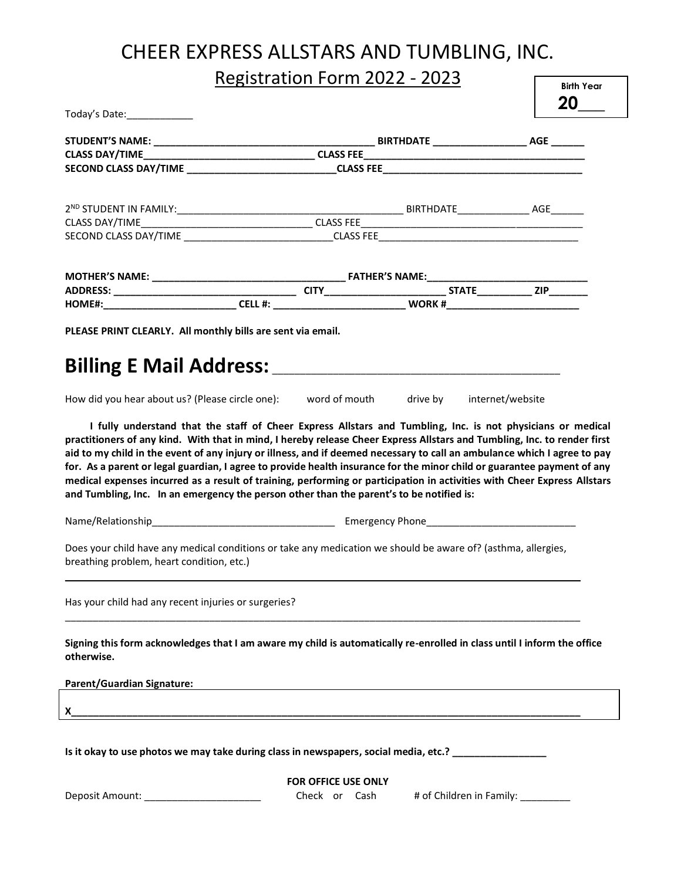# CHEER EXPRESS ALLSTARS AND TUMBLING, INC.

Registration Form 2022 - 2023

| Today's Date: ______________<br>PLEASE PRINT CLEARLY. All monthly bills are sent via email.                                                                                                                                                                                                                                                                                                                                                                                                                                                                                                             |                                                                   |  |
|---------------------------------------------------------------------------------------------------------------------------------------------------------------------------------------------------------------------------------------------------------------------------------------------------------------------------------------------------------------------------------------------------------------------------------------------------------------------------------------------------------------------------------------------------------------------------------------------------------|-------------------------------------------------------------------|--|
|                                                                                                                                                                                                                                                                                                                                                                                                                                                                                                                                                                                                         |                                                                   |  |
|                                                                                                                                                                                                                                                                                                                                                                                                                                                                                                                                                                                                         |                                                                   |  |
|                                                                                                                                                                                                                                                                                                                                                                                                                                                                                                                                                                                                         |                                                                   |  |
|                                                                                                                                                                                                                                                                                                                                                                                                                                                                                                                                                                                                         |                                                                   |  |
|                                                                                                                                                                                                                                                                                                                                                                                                                                                                                                                                                                                                         |                                                                   |  |
|                                                                                                                                                                                                                                                                                                                                                                                                                                                                                                                                                                                                         |                                                                   |  |
|                                                                                                                                                                                                                                                                                                                                                                                                                                                                                                                                                                                                         |                                                                   |  |
|                                                                                                                                                                                                                                                                                                                                                                                                                                                                                                                                                                                                         |                                                                   |  |
|                                                                                                                                                                                                                                                                                                                                                                                                                                                                                                                                                                                                         |                                                                   |  |
|                                                                                                                                                                                                                                                                                                                                                                                                                                                                                                                                                                                                         |                                                                   |  |
|                                                                                                                                                                                                                                                                                                                                                                                                                                                                                                                                                                                                         |                                                                   |  |
| How did you hear about us? (Please circle one): word of mouth drive by internet/website                                                                                                                                                                                                                                                                                                                                                                                                                                                                                                                 |                                                                   |  |
| practitioners of any kind. With that in mind, I hereby release Cheer Express Allstars and Tumbling, Inc. to render first<br>aid to my child in the event of any injury or illness, and if deemed necessary to call an ambulance which I agree to pay<br>for. As a parent or legal guardian, I agree to provide health insurance for the minor child or guarantee payment of any<br>medical expenses incurred as a result of training, performing or participation in activities with Cheer Express Allstars<br>and Tumbling, Inc. In an emergency the person other than the parent's to be notified is: |                                                                   |  |
|                                                                                                                                                                                                                                                                                                                                                                                                                                                                                                                                                                                                         |                                                                   |  |
| Does your child have any medical conditions or take any medication we should be aware of? (asthma, allergies,<br>breathing problem, heart condition, etc.)                                                                                                                                                                                                                                                                                                                                                                                                                                              |                                                                   |  |
| Has your child had any recent injuries or surgeries?                                                                                                                                                                                                                                                                                                                                                                                                                                                                                                                                                    |                                                                   |  |
| Signing this form acknowledges that I am aware my child is automatically re-enrolled in class until I inform the office<br>otherwise.                                                                                                                                                                                                                                                                                                                                                                                                                                                                   |                                                                   |  |
| <b>Parent/Guardian Signature:</b>                                                                                                                                                                                                                                                                                                                                                                                                                                                                                                                                                                       | <u> 1989 - Johann John Stone, mars eta biztanleria (h. 1989).</u> |  |
| X_                                                                                                                                                                                                                                                                                                                                                                                                                                                                                                                                                                                                      |                                                                   |  |
| Is it okay to use photos we may take during class in newspapers, social media, etc.? ___________                                                                                                                                                                                                                                                                                                                                                                                                                                                                                                        |                                                                   |  |

**FOR OFFICE USE ONLY**

Deposit Amount: \_\_\_\_\_\_\_\_\_\_\_\_\_\_\_\_\_\_\_\_\_\_\_\_\_\_\_\_\_\_\_Check or Cash # of Children in Family: \_\_\_\_\_\_\_\_\_\_\_\_

**Birth Year**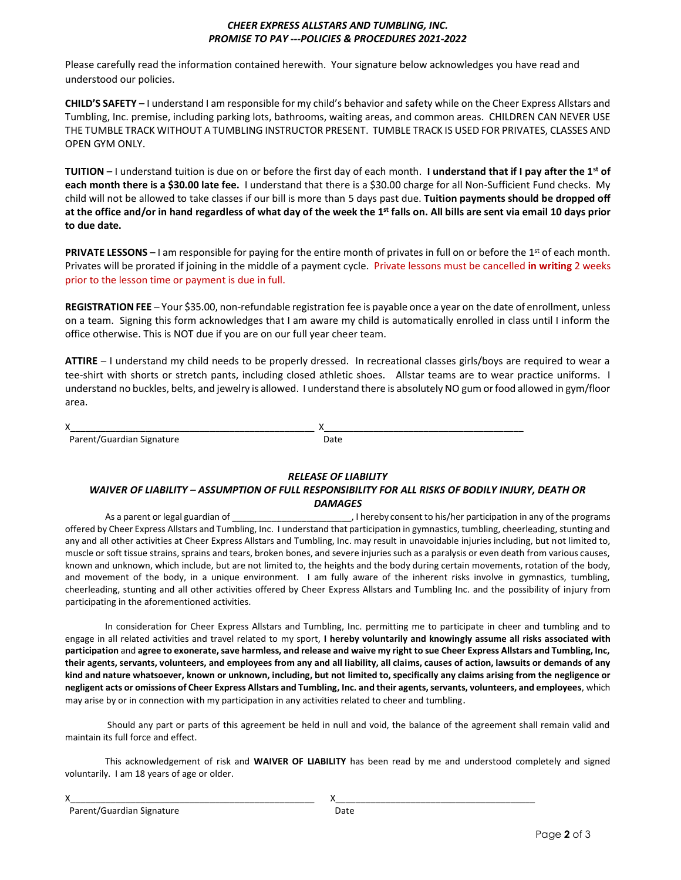#### *CHEER EXPRESS ALLSTARS AND TUMBLING, INC. PROMISE TO PAY ---POLICIES & PROCEDURES 2021-2022*

Please carefully read the information contained herewith. Your signature below acknowledges you have read and understood our policies.

**CHILD'S SAFETY** – I understand I am responsible for my child's behavior and safety while on the Cheer Express Allstars and Tumbling, Inc. premise, including parking lots, bathrooms, waiting areas, and common areas. CHILDREN CAN NEVER USE THE TUMBLE TRACK WITHOUT A TUMBLING INSTRUCTOR PRESENT. TUMBLE TRACK IS USED FOR PRIVATES, CLASSES AND OPEN GYM ONLY.

**TUITION** – I understand tuition is due on or before the first day of each month. **I understand that if I pay after the 1st of each month there is a \$30.00 late fee.** I understand that there is a \$30.00 charge for all Non-Sufficient Fund checks. My child will not be allowed to take classes if our bill is more than 5 days past due. **Tuition payments should be dropped off at the office and/or in hand regardless of what day of the week the 1st falls on. All bills are sent via email 10 days prior to due date.**

**PRIVATE LESSONS** – I am responsible for paying for the entire month of privates in full on or before the 1<sup>st</sup> of each month. Privates will be prorated if joining in the middle of a payment cycle. Private lessons must be cancelled **in writing** 2 weeks prior to the lesson time or payment is due in full.

**REGISTRATION FEE** – Your \$35.00, non-refundable registration fee is payable once a year on the date of enrollment, unless on a team. Signing this form acknowledges that I am aware my child is automatically enrolled in class until I inform the office otherwise. This is NOT due if you are on our full year cheer team.

**ATTIRE** – I understand my child needs to be properly dressed. In recreational classes girls/boys are required to wear a tee-shirt with shorts or stretch pants, including closed athletic shoes. Allstar teams are to wear practice uniforms. I understand no buckles, belts, and jewelry is allowed. I understand there is absolutely NO gum or food allowed in gym/floor area.

| $\checkmark$<br>́<br>__________________________________<br>___________ | ________ |
|------------------------------------------------------------------------|----------|
|                                                                        |          |

#### *RELEASE OF LIABILITY*

#### *WAIVER OF LIABILITY – ASSUMPTION OF FULL RESPONSIBILITY FOR ALL RISKS OF BODILY INJURY, DEATH OR DAMAGES*

As a parent or legal guardian of  $\Box$  . I hereby consent to his/her participation in any of the programs offered by Cheer Express Allstars and Tumbling, Inc. I understand that participation in gymnastics, tumbling, cheerleading, stunting and any and all other activities at Cheer Express Allstars and Tumbling, Inc. may result in unavoidable injuries including, but not limited to, muscle or soft tissue strains, sprains and tears, broken bones, and severe injuries such as a paralysis or even death from various causes, known and unknown, which include, but are not limited to, the heights and the body during certain movements, rotation of the body, and movement of the body, in a unique environment. I am fully aware of the inherent risks involve in gymnastics, tumbling, cheerleading, stunting and all other activities offered by Cheer Express Allstars and Tumbling Inc. and the possibility of injury from participating in the aforementioned activities.

In consideration for Cheer Express Allstars and Tumbling, Inc. permitting me to participate in cheer and tumbling and to engage in all related activities and travel related to my sport, **I hereby voluntarily and knowingly assume all risks associated with participation** and **agree to exonerate, save harmless, and release and waive my right to sue Cheer Express Allstars and Tumbling, Inc, their agents, servants, volunteers, and employees from any and all liability, all claims, causes of action, lawsuits or demands of any kind and nature whatsoever, known or unknown, including, but not limited to, specifically any claims arising from the negligence or negligent acts or omissions of Cheer Express Allstars and Tumbling, Inc. and their agents, servants, volunteers, and employees**, which may arise by or in connection with my participation in any activities related to cheer and tumbling.

Should any part or parts of this agreement be held in null and void, the balance of the agreement shall remain valid and maintain its full force and effect.

This acknowledgement of risk and **WAIVER OF LIABILITY** has been read by me and understood completely and signed voluntarily. I am 18 years of age or older.

| . . |  |
|-----|--|
|     |  |